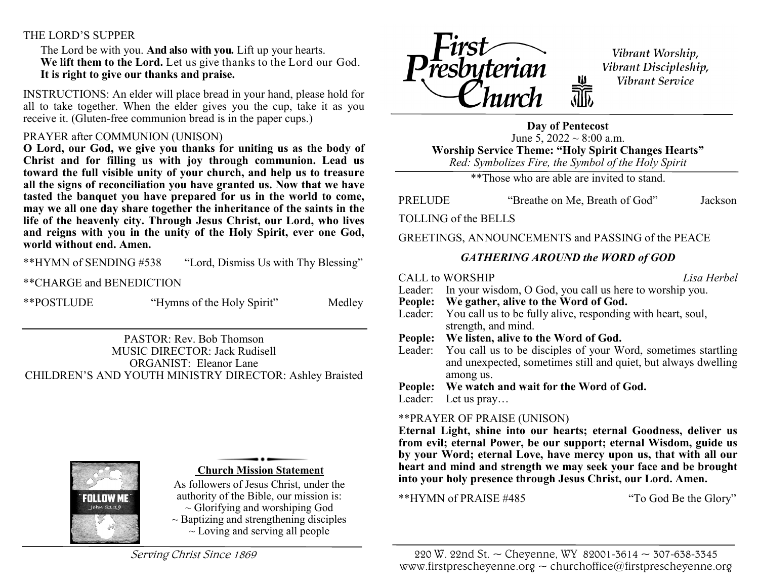# THE LORD'S SUPPER

 The Lord be with you. **And also with you.** Lift up your hearts.  **We lift them to the Lord.** Let us give thanks to the Lord our God.  **It is right to give our thanks and praise.**

INSTRUCTIONS: An elder will place bread in your hand, please hold for all to take together. When the elder gives you the cup, take it as you receive it. (Gluten-free communion bread is in the paper cups.)

## PRAYER after COMMUNION (UNISON)

**O Lord, our God, we give you thanks for uniting us as the body of Christ and for filling us with joy through communion. Lead us toward the full visible unity of your church, and help us to treasure all the signs of reconciliation you have granted us. Now that we have tasted the banquet you have prepared for us in the world to come, may we all one day share together the inheritance of the saints in the life of the heavenly city. Through Jesus Christ, our Lord, who lives and reigns with you in the unity of the Holy Spirit, ever one God, world without end. Amen.** 

\*\*HYMN of SENDING #538 "Lord, Dismiss Us with Thy Blessing"

\*\*CHARGE and BENEDICTION

\*\*POSTLUDE "Hymns of the Holy Spirit" Medley

PASTOR: Rev. Bob Thomson MUSIC DIRECTOR: Jack Rudisell ORGANIST: Eleanor Lane CHILDREN'S AND YOUTH MINISTRY DIRECTOR: Ashley Braisted



## **Church Mission Statement**

As followers of Jesus Christ, under the authority of the Bible, our mission is:  $\sim$  Glorifying and worshiping God

 $\sim$  Baptizing and strengthening disciples  $\sim$  Loving and serving all people

Serving Christ Since 1869



Vibrant Worship, Vibrant Discipleship, Vibrant Service

**Day of Pentecost** June 5,  $2022 \sim 8:00$  a.m. **Worship Service Theme: "Holy Spirit Changes Hearts"** *Red: Symbolizes Fire, the Symbol of the Holy Spirit*

\*\*Those who are able are invited to stand.

PRELUDE "Breathe on Me, Breath of God" Jackson

TOLLING of the BELLS

GREETINGS, ANNOUNCEMENTS and PASSING of the PEACE

# *GATHERING AROUND the WORD of GOD*

|         | <b>CALL to WORSHIP</b>                                                                                                                               | Lisa Herbel |  |
|---------|------------------------------------------------------------------------------------------------------------------------------------------------------|-------------|--|
|         | Leader: In your wisdom, O God, you call us here to worship you.                                                                                      |             |  |
|         | People: We gather, alive to the Word of God.                                                                                                         |             |  |
|         | Leader: You call us to be fully alive, responding with heart, soul,                                                                                  |             |  |
|         | strength, and mind.                                                                                                                                  |             |  |
|         | People: We listen, alive to the Word of God.                                                                                                         |             |  |
|         | Leader: You call us to be disciples of your Word, sometimes startling<br>and unexpected, sometimes still and quiet, but always dwelling<br>among us. |             |  |
| People: | We watch and wait for the Word of God.                                                                                                               |             |  |
| Leader: | Let us $\text{pray} \dots$                                                                                                                           |             |  |
|         |                                                                                                                                                      |             |  |

## \*\*PRAYER OF PRAISE (UNISON)

**Eternal Light, shine into our hearts; eternal Goodness, deliver us from evil; eternal Power, be our support; eternal Wisdom, guide us by your Word; eternal Love, have mercy upon us, that with all our heart and mind and strength we may seek your face and be brought into your holy presence through Jesus Christ, our Lord. Amen.**

\*\*HYMN of PRAISE #485 "To God Be the Glory"